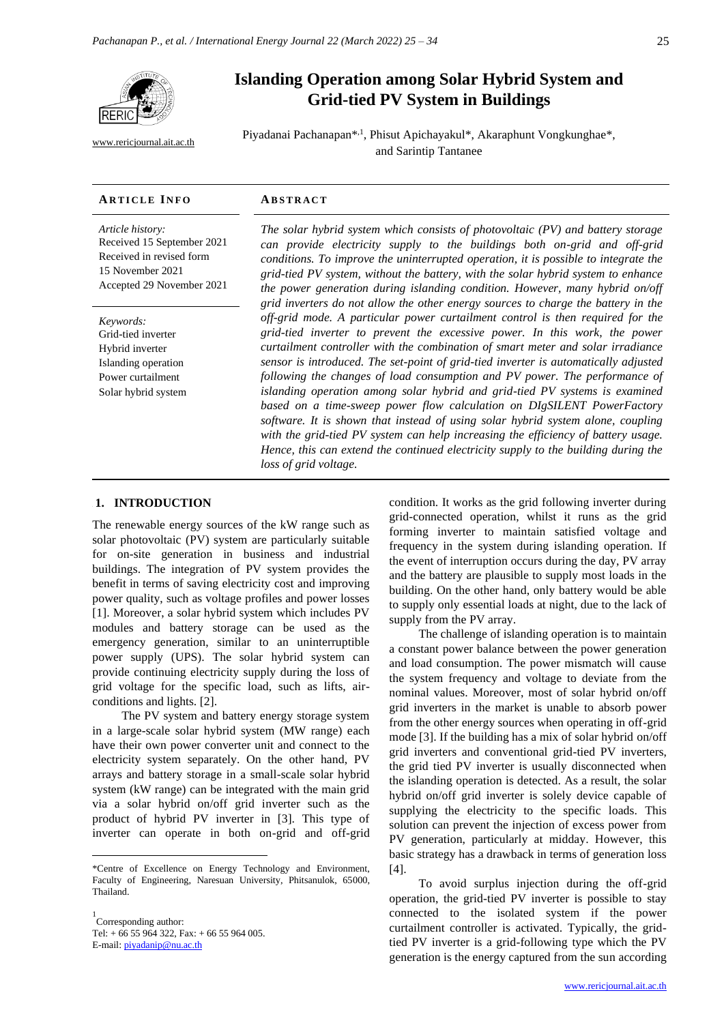

[www.rericjournal.ait.ac.th](file:///C:/Reric-Data/JOURNAL/Accepted%20Paper/Users/RERIC/Vol.11%20No.2/Formatted/For%20Print/www.rericjournal.ait.ac.th)

# **Islanding Operation among Solar Hybrid System and Grid-tied PV System in Buildings**

Piyadanai Pachanapan<sup>\*,1</sup>, Phisut Apichayakul<sup>\*</sup>, Akaraphunt Vongkunghae<sup>\*</sup>, and Sarintip Tantanee

#### **AR T I C L E I N F O AB S T R A C T**

*Article history:* Received 15 September 2021 Received in revised form 15 November 2021 Accepted 29 November 2021

*Keywords:* Grid-tied inverter Hybrid inverter Islanding operation Power curtailment Solar hybrid system

*The solar hybrid system which consists of photovoltaic (PV) and battery storage can provide electricity supply to the buildings both on-grid and off-grid conditions. To improve the uninterrupted operation, it is possible to integrate the grid-tied PV system, without the battery, with the solar hybrid system to enhance the power generation during islanding condition. However, many hybrid on/off grid inverters do not allow the other energy sources to charge the battery in the off-grid mode. A particular power curtailment control is then required for the grid-tied inverter to prevent the excessive power. In this work, the power curtailment controller with the combination of smart meter and solar irradiance*  sensor is introduced. The set-point of grid-tied inverter is automatically adjusted *following the changes of load consumption and PV power. The performance of*  islanding operation among solar hybrid and grid-tied PV systems is examined based on a time-sweep power flow calculation on DIgSILENT PowerFactory *software. It is shown that instead of using solar hybrid system alone, coupling with the grid-tied PV system can help increasing the efficiency of battery usage. Hence, this can extend the continued electricity supply to the building during the loss of grid voltage.*

## 1. **INTRODUCTION**

The renewable energy sources of the kW range such as solar photovoltaic (PV) system are particularly suitable for on-site generation in business and industrial buildings. The integration of PV system provides the benefit in terms of saving electricity cost and improving power quality, such as voltage profiles and power losses [1]. Moreover, a solar hybrid system which includes PV modules and battery storage can be used as the emergency generation, similar to an uninterruptible power supply (UPS). The solar hybrid system can provide continuing electricity supply during the loss of grid voltage for the specific load, such as lifts, airconditions and lights. [2].

The PV system and battery energy storage system in a large-scale solar hybrid system (MW range) each have their own power converter unit and connect to the electricity system separately. On the other hand, PV arrays and battery storage in a small-scale solar hybrid system (kW range) can be integrated with the main grid via a solar hybrid on/off grid inverter such as the product of hybrid PV inverter in [3]. This type of inverter can operate in both on-grid and off-grid

1 Corresponding author: Tel: + 66 55 964 322, Fax: + 66 55 964 005. E-mail: [piyadanip@nu.ac.th](mailto:piyadanip@nu.ac.th)

condition. It works as the grid following inverter during grid-connected operation, whilst it runs as the grid forming inverter to maintain satisfied voltage and frequency in the system during islanding operation. If the event of interruption occurs during the day, PV array and the battery are plausible to supply most loads in the building. On the other hand, only battery would be able to supply only essential loads at night, due to the lack of supply from the PV array.

The challenge of islanding operation is to maintain a constant power balance between the power generation and load consumption. The power mismatch will cause the system frequency and voltage to deviate from the nominal values. Moreover, most of solar hybrid on/off grid inverters in the market is unable to absorb power from the other energy sources when operating in off-grid mode [3]. If the building has a mix of solar hybrid on/off grid inverters and conventional grid-tied PV inverters, the grid tied PV inverter is usually disconnected when the islanding operation is detected. As a result, the solar hybrid on/off grid inverter is solely device capable of supplying the electricity to the specific loads. This solution can prevent the injection of excess power from PV generation, particularly at midday. However, this basic strategy has a drawback in terms of generation loss [4].

To avoid surplus injection during the off-grid operation, the grid-tied PV inverter is possible to stay connected to the isolated system if the power curtailment controller is activated. Typically, the gridtied PV inverter is a grid-following type which the PV generation is the energy captured from the sun according

<sup>\*</sup>Centre of Excellence on Energy Technology and Environment, Faculty of Engineering, Naresuan University, Phitsanulok, 65000, Thailand.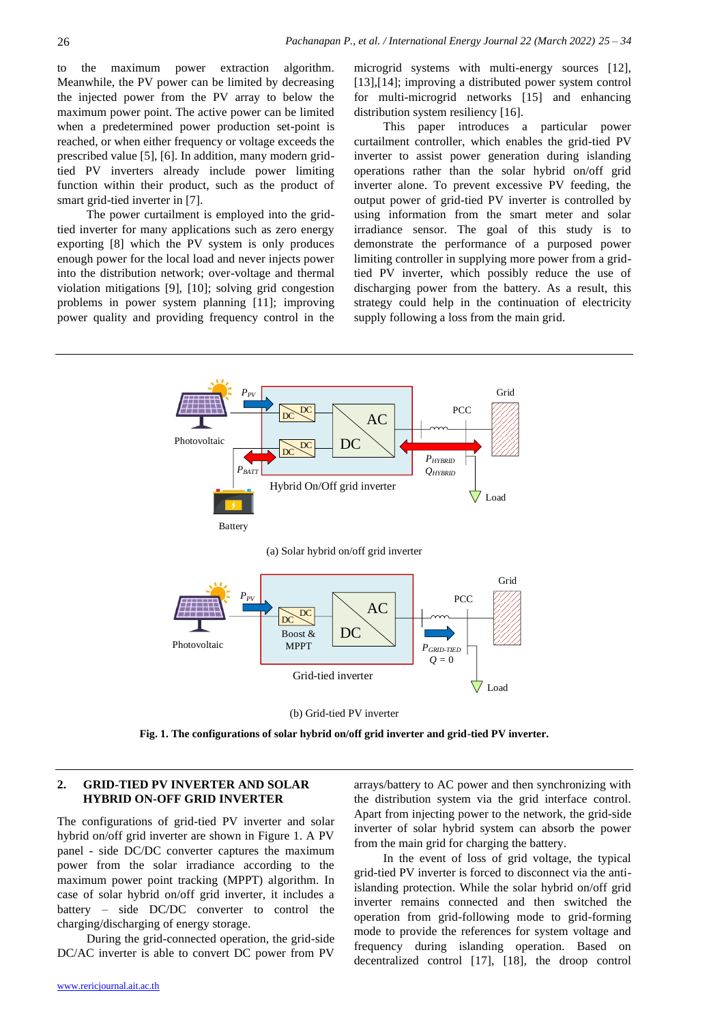to the maximum power extraction algorithm. Meanwhile, the PV power can be limited by decreasing the injected power from the PV array to below the maximum power point. The active power can be limited when a predetermined power production set-point is reached, or when either frequency or voltage exceeds the prescribed value [5], [6]. In addition, many modern gridtied PV inverters already include power limiting function within their product, such as the product of smart grid-tied inverter in [7].

The power curtailment is employed into the gridtied inverter for many applications such as zero energy exporting [8] which the PV system is only produces enough power for the local load and never injects power into the distribution network; over-voltage and thermal violation mitigations [9], [10]; solving grid congestion problems in power system planning [11]; improving power quality and providing frequency control in the microgrid systems with multi-energy sources [12], [13],[14]; improving a distributed power system control for multi-microgrid networks [15] and enhancing distribution system resiliency [16].

This paper introduces a particular power curtailment controller, which enables the grid-tied PV inverter to assist power generation during islanding operations rather than the solar hybrid on/off grid inverter alone. To prevent excessive PV feeding, the output power of grid-tied PV inverter is controlled by using information from the smart meter and solar irradiance sensor. The goal of this study is to demonstrate the performance of a purposed power limiting controller in supplying more power from a gridtied PV inverter, which possibly reduce the use of discharging power from the battery. As a result, this strategy could help in the continuation of electricity supply following a loss from the main grid.



**Fig. 1. The configurations of solar hybrid on/off grid inverter and grid-tied PV inverter.**

# **2. GRID-TIED PV INVERTER AND SOLAR HYBRID ON-OFF GRID INVERTER**

The configurations of grid-tied PV inverter and solar hybrid on/off grid inverter are shown in Figure 1. A PV panel - side DC/DC converter captures the maximum power from the solar irradiance according to the maximum power point tracking (MPPT) algorithm. In case of solar hybrid on/off grid inverter, it includes a battery – side DC/DC converter to control the charging/discharging of energy storage.

During the grid-connected operation, the grid-side DC/AC inverter is able to convert DC power from PV

arrays/battery to AC power and then synchronizing with the distribution system via the grid interface control. Apart from injecting power to the network, the grid-side inverter of solar hybrid system can absorb the power from the main grid for charging the battery.

In the event of loss of grid voltage, the typical grid-tied PV inverter is forced to disconnect via the antiislanding protection. While the solar hybrid on/off grid inverter remains connected and then switched the operation from grid-following mode to grid-forming mode to provide the references for system voltage and frequency during islanding operation. Based on decentralized control [17], [18], the droop control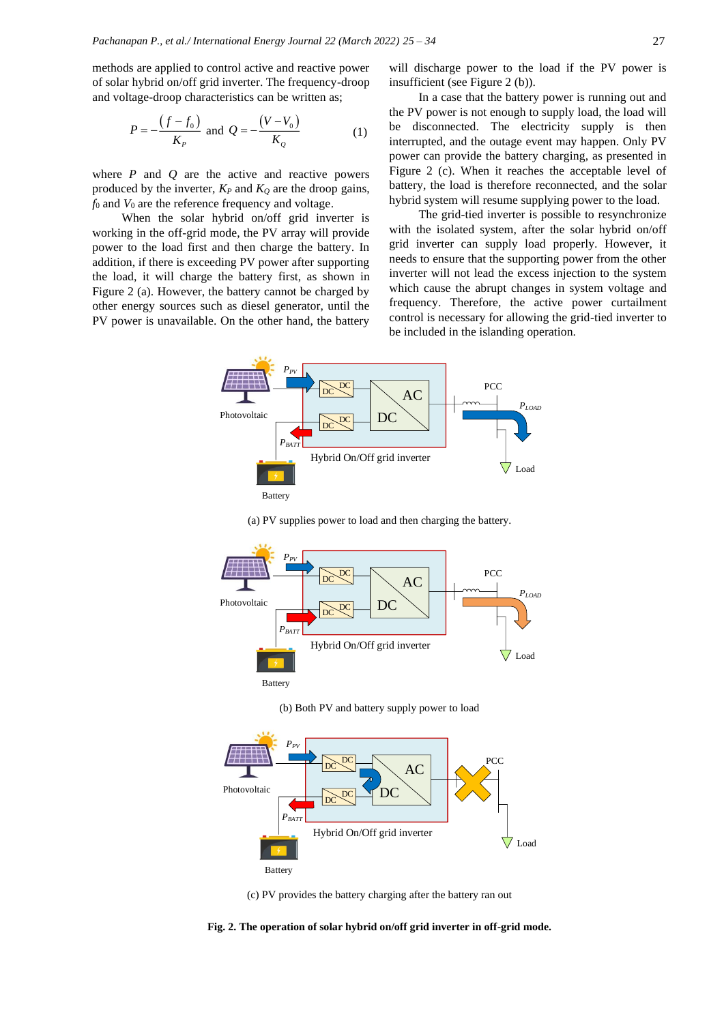methods are applied to control active and reactive power of solar hybrid on/off grid inverter. The frequency-droop and voltage-droop characteristics can be written as;

$$
P = -\frac{(f - f_0)}{K_P} \text{ and } Q = -\frac{(V - V_0)}{K_Q} \tag{1}
$$

where  $P$  and  $Q$  are the active and reactive powers produced by the inverter,  $K_P$  and  $K_Q$  are the droop gains, *f*<sup>0</sup> and *V*<sup>0</sup> are the reference frequency and voltage.

When the solar hybrid on/off grid inverter is working in the off-grid mode, the PV array will provide power to the load first and then charge the battery. In addition, if there is exceeding PV power after supporting the load, it will charge the battery first, as shown in Figure 2 (a). However, the battery cannot be charged by other energy sources such as diesel generator, until the PV power is unavailable. On the other hand, the battery

will discharge power to the load if the PV power is insufficient (see Figure 2 (b)).

In a case that the battery power is running out and the PV power is not enough to supply load, the load will be disconnected. The electricity supply is then interrupted, and the outage event may happen. Only PV power can provide the battery charging, as presented in Figure 2 (c). When it reaches the acceptable level of battery, the load is therefore reconnected, and the solar hybrid system will resume supplying power to the load.

The grid-tied inverter is possible to resynchronize with the isolated system, after the solar hybrid on/off grid inverter can supply load properly. However, it needs to ensure that the supporting power from the other inverter will not lead the excess injection to the system which cause the abrupt changes in system voltage and frequency. Therefore, the active power curtailment control is necessary for allowing the grid-tied inverter to be included in the islanding operation.



(a) PV supplies power to load and then charging the battery.



(b) Both PV and battery supply power to load



(c) PV provides the battery charging after the battery ran out

**Fig. 2. The operation of solar hybrid on/off grid inverter in off-grid mode.**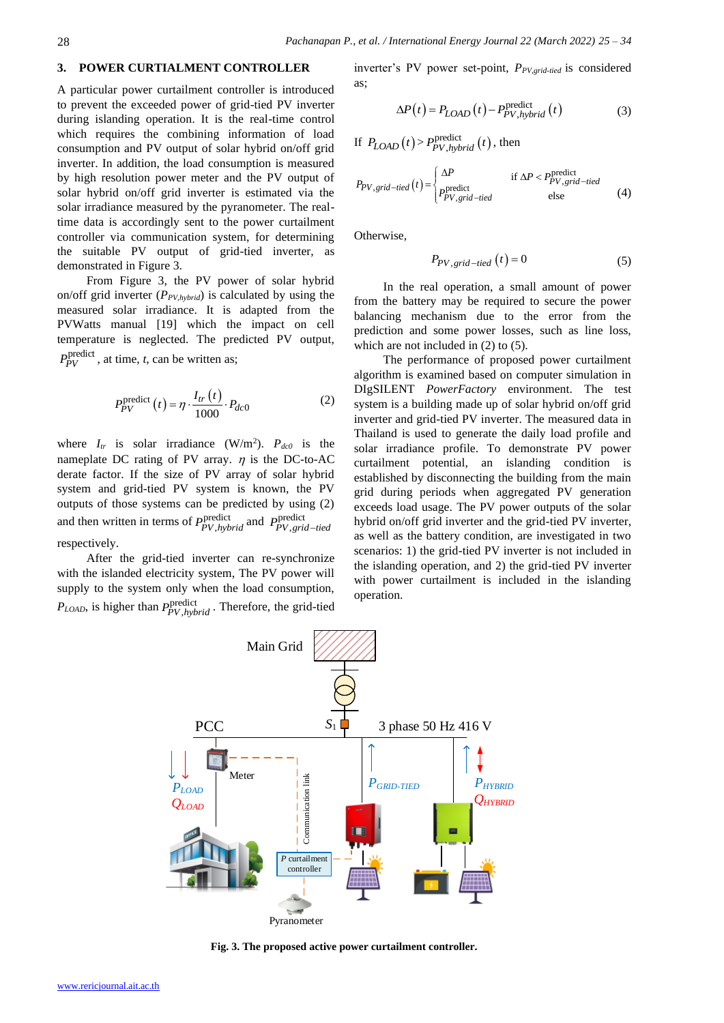#### **3. POWER CURTIALMENT CONTROLLER**

A particular power curtailment controller is introduced to prevent the exceeded power of grid-tied PV inverter during islanding operation. It is the real-time control which requires the combining information of load consumption and PV output of solar hybrid on/off grid inverter. In addition, the load consumption is measured by high resolution power meter and the PV output of solar hybrid on/off grid inverter is estimated via the solar irradiance measured by the pyranometer. The realtime data is accordingly sent to the power curtailment controller via communication system, for determining the suitable PV output of grid-tied inverter, as demonstrated in Figure 3.

From Figure 3, the PV power of solar hybrid on/off grid inverter (*PPV,hybrid*) is calculated by using the measured solar irradiance. It is adapted from the PVWatts manual [19] which the impact on cell temperature is neglected. The predicted PV output,  $P_{PV}^{\text{predict}}$ , at time, *t*, can be written as;

$$
P_{PV}^{\text{predict}}(t) = \eta \cdot \frac{I_{tr}(t)}{1000} \cdot P_{dc0}
$$
 (2)

where  $I_{tr}$  is solar irradiance (W/m<sup>2</sup>).  $P_{dc0}$  is the nameplate DC rating of PV array.  $\eta$  is the DC-to-AC derate factor. If the size of PV array of solar hybrid system and grid-tied PV system is known, the PV outputs of those systems can be predicted by using (2) and then written in terms of  $P_{\text{DU}}^{\text{predict}}$ *P*<sub>PV</sub>, *hybrid* and *P*<sub>PV</sub>, *gri P*<sup>p</sup>*PV*,*grid*–tied respectively.

After the grid-tied inverter can re-synchronize with the islanded electricity system, The PV power will supply to the system only when the load consumption,  $P_{LOAD}$ , is higher than  $P_{PV-hv}^{\text{predict}}$  $P_{PV, hybrid}^{\text{predict}}$ . Therefore, the grid-tied

inverter's PV power set-point, *P<sub>PV grid-tied</sub>* is considered as;

$$
\Delta P(t) = P_{LOAD}(t) - P_{PV, hybrid}^{\text{predict}}(t)
$$
\n(3)

If  $P_{LOAD}(t) > P_{PV,hvbrid}^{predict}(t)$  $P_{PV,hybrid}^{predict}(t)$ , then

$$
P_{PV,grid-tied}(t) = \begin{cases} \Delta P & \text{if } \Delta P < P_{PV,grid-tied}^{\text{predict}}\\ P_{PV,grid-tied}^{\text{predict}} & \text{else} \end{cases} \tag{4}
$$

Otherwise,

$$
P_{PV,grid-tied}(t) = 0 \tag{5}
$$

In the real operation, a small amount of power from the battery may be required to secure the power balancing mechanism due to the error from the prediction and some power losses, such as line loss, which are not included in  $(2)$  to  $(5)$ .

The performance of proposed power curtailment algorithm is examined based on computer simulation in DIgSILENT *PowerFactory* environment. The test system is a building made up of solar hybrid on/off grid inverter and grid-tied PV inverter. The measured data in Thailand is used to generate the daily load profile and solar irradiance profile. To demonstrate PV power curtailment potential, an islanding condition is established by disconnecting the building from the main grid during periods when aggregated PV generation exceeds load usage. The PV power outputs of the solar hybrid on/off grid inverter and the grid-tied PV inverter, as well as the battery condition, are investigated in two scenarios: 1) the grid-tied PV inverter is not included in the islanding operation, and 2) the grid-tied PV inverter with power curtailment is included in the islanding operation.



**Fig. 3. The proposed active power curtailment controller.**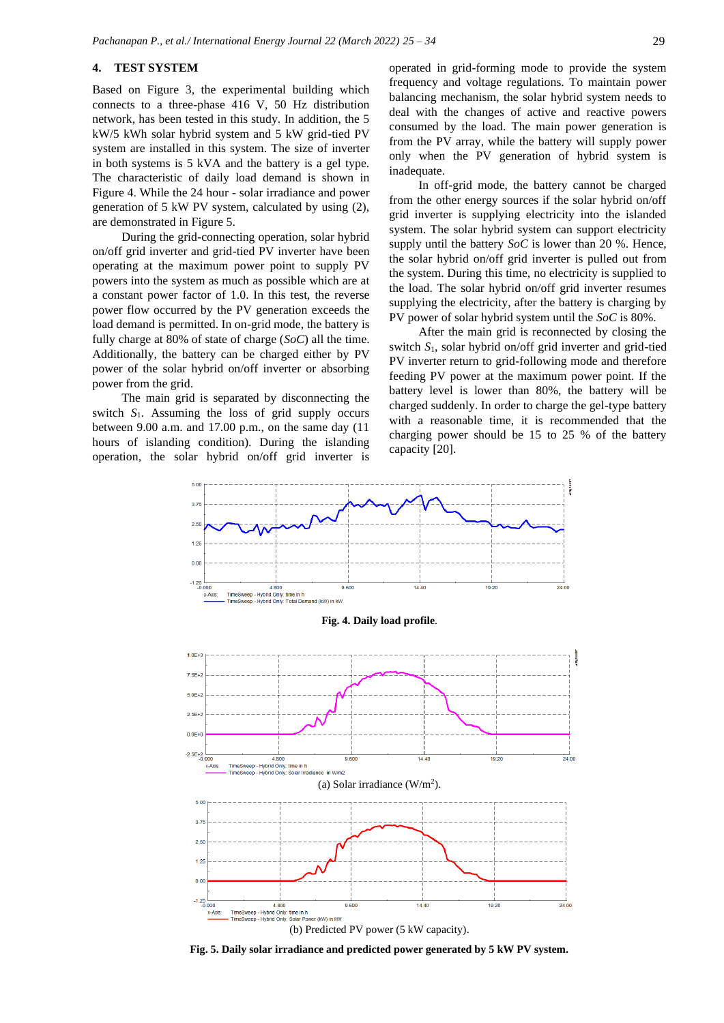## **4. TEST SYSTEM**

Based on Figure 3, the experimental building which connects to a three-phase 416 V, 50 Hz distribution network, has been tested in this study. In addition, the 5 kW/5 kWh solar hybrid system and 5 kW grid-tied PV system are installed in this system. The size of inverter in both systems is 5 kVA and the battery is a gel type. The characteristic of daily load demand is shown in Figure 4. While the 24 hour - solar irradiance and power generation of 5 kW PV system, calculated by using (2), are demonstrated in Figure 5.

During the grid-connecting operation, solar hybrid on/off grid inverter and grid-tied PV inverter have been operating at the maximum power point to supply PV powers into the system as much as possible which are at a constant power factor of 1.0. In this test, the reverse power flow occurred by the PV generation exceeds the load demand is permitted. In on-grid mode, the battery is fully charge at 80% of state of charge (*SoC*) all the time. Additionally, the battery can be charged either by PV power of the solar hybrid on/off inverter or absorbing power from the grid.

The main grid is separated by disconnecting the switch *S*1. Assuming the loss of grid supply occurs between 9.00 a.m. and 17.00 p.m., on the same day (11 hours of islanding condition). During the islanding operation, the solar hybrid on/off grid inverter is

operated in grid-forming mode to provide the system frequency and voltage regulations. To maintain power balancing mechanism, the solar hybrid system needs to deal with the changes of active and reactive powers consumed by the load. The main power generation is from the PV array, while the battery will supply power only when the PV generation of hybrid system is inadequate.

In off-grid mode, the battery cannot be charged from the other energy sources if the solar hybrid on/off grid inverter is supplying electricity into the islanded system. The solar hybrid system can support electricity supply until the battery *SoC* is lower than 20 %. Hence, the solar hybrid on/off grid inverter is pulled out from the system. During this time, no electricity is supplied to the load. The solar hybrid on/off grid inverter resumes supplying the electricity, after the battery is charging by PV power of solar hybrid system until the *SoC* is 80%.

After the main grid is reconnected by closing the switch *S*1, solar hybrid on/off grid inverter and grid-tied PV inverter return to grid-following mode and therefore feeding PV power at the maximum power point. If the battery level is lower than 80%, the battery will be charged suddenly. In order to charge the gel-type battery with a reasonable time, it is recommended that the charging power should be 15 to 25 % of the battery capacity [20].



**Fig. 5. Daily solar irradiance and predicted power generated by 5 kW PV system.**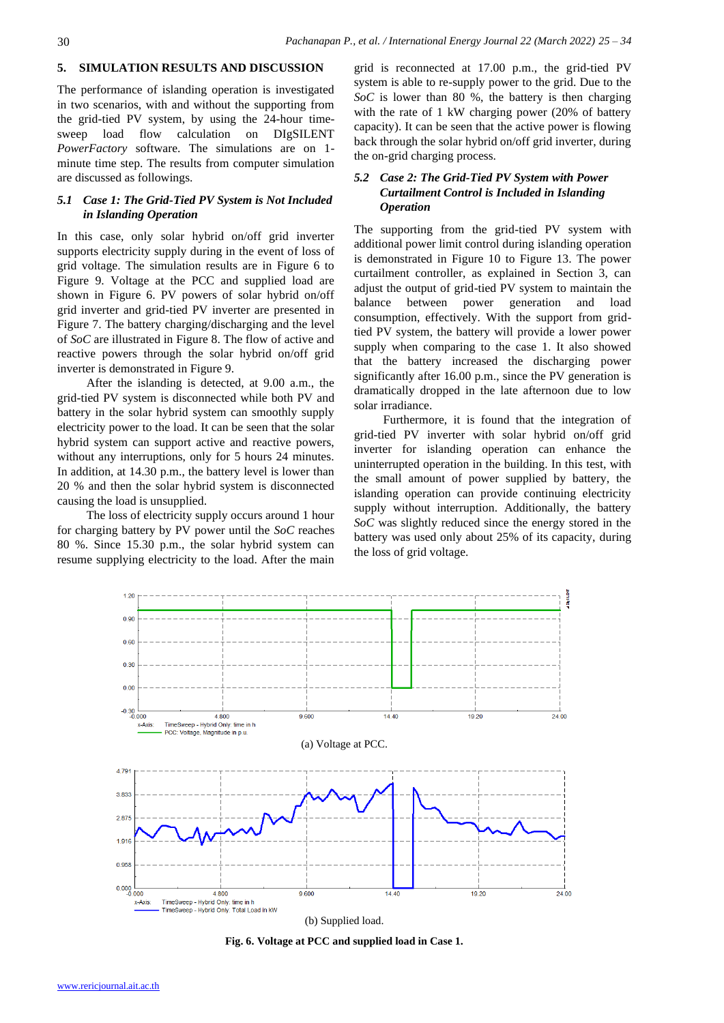## **5. SIMULATION RESULTS AND DISCUSSION**

The performance of islanding operation is investigated in two scenarios, with and without the supporting from the grid-tied PV system, by using the 24-hour timesweep load flow calculation on DIgSILENT *PowerFactory* software. The simulations are on 1 minute time step. The results from computer simulation are discussed as followings.

# *5.1 Case 1: The Grid-Tied PV System is Not Included in Islanding Operation*

In this case, only solar hybrid on/off grid inverter supports electricity supply during in the event of loss of grid voltage. The simulation results are in Figure 6 to Figure 9. Voltage at the PCC and supplied load are shown in Figure 6. PV powers of solar hybrid on/off grid inverter and grid-tied PV inverter are presented in Figure 7. The battery charging/discharging and the level of *SoC* are illustrated in Figure 8. The flow of active and reactive powers through the solar hybrid on/off grid inverter is demonstrated in Figure 9.

After the islanding is detected, at 9.00 a.m., the grid-tied PV system is disconnected while both PV and battery in the solar hybrid system can smoothly supply electricity power to the load. It can be seen that the solar hybrid system can support active and reactive powers, without any interruptions, only for 5 hours 24 minutes. In addition, at 14.30 p.m., the battery level is lower than 20 % and then the solar hybrid system is disconnected causing the load is unsupplied.

The loss of electricity supply occurs around 1 hour for charging battery by PV power until the *SoC* reaches 80 %. Since 15.30 p.m., the solar hybrid system can resume supplying electricity to the load. After the main

grid is reconnected at 17.00 p.m., the grid-tied PV system is able to re-supply power to the grid. Due to the *SoC* is lower than 80 %, the battery is then charging with the rate of 1 kW charging power (20% of battery capacity). It can be seen that the active power is flowing back through the solar hybrid on/off grid inverter, during the on-grid charging process.

# *5.2 Case 2: The Grid-Tied PV System with Power Curtailment Control is Included in Islanding Operation*

The supporting from the grid-tied PV system with additional power limit control during islanding operation is demonstrated in Figure 10 to Figure 13. The power curtailment controller, as explained in Section 3, can adjust the output of grid-tied PV system to maintain the balance between power generation and load consumption, effectively. With the support from gridtied PV system, the battery will provide a lower power supply when comparing to the case 1. It also showed that the battery increased the discharging power significantly after 16.00 p.m., since the PV generation is dramatically dropped in the late afternoon due to low solar irradiance.

Furthermore, it is found that the integration of grid-tied PV inverter with solar hybrid on/off grid inverter for islanding operation can enhance the uninterrupted operation in the building. In this test, with the small amount of power supplied by battery, the islanding operation can provide continuing electricity supply without interruption. Additionally, the battery *SoC* was slightly reduced since the energy stored in the battery was used only about 25% of its capacity, during the loss of grid voltage.



**Fig. 6. Voltage at PCC and supplied load in Case 1.**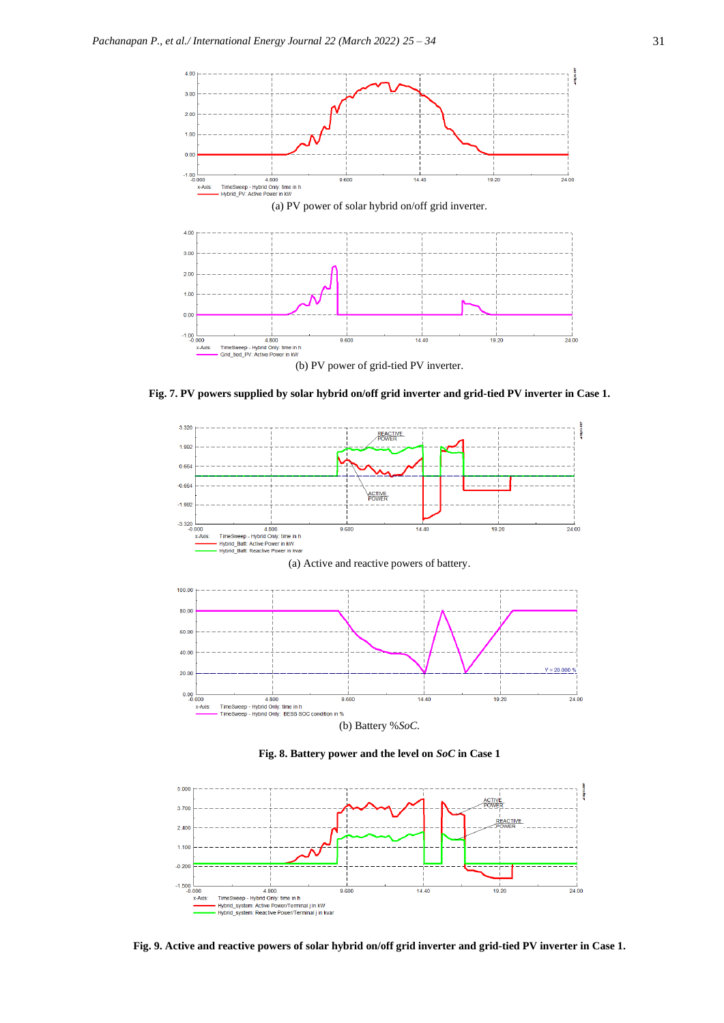

**Fig. 7. PV powers supplied by solar hybrid on/off grid inverter and grid-tied PV inverter in Case 1.**



**Fig. 8. Battery power and the level on** *SoC* **in Case 1**



**Fig. 9. Active and reactive powers of solar hybrid on/off grid inverter and grid-tied PV inverter in Case 1.**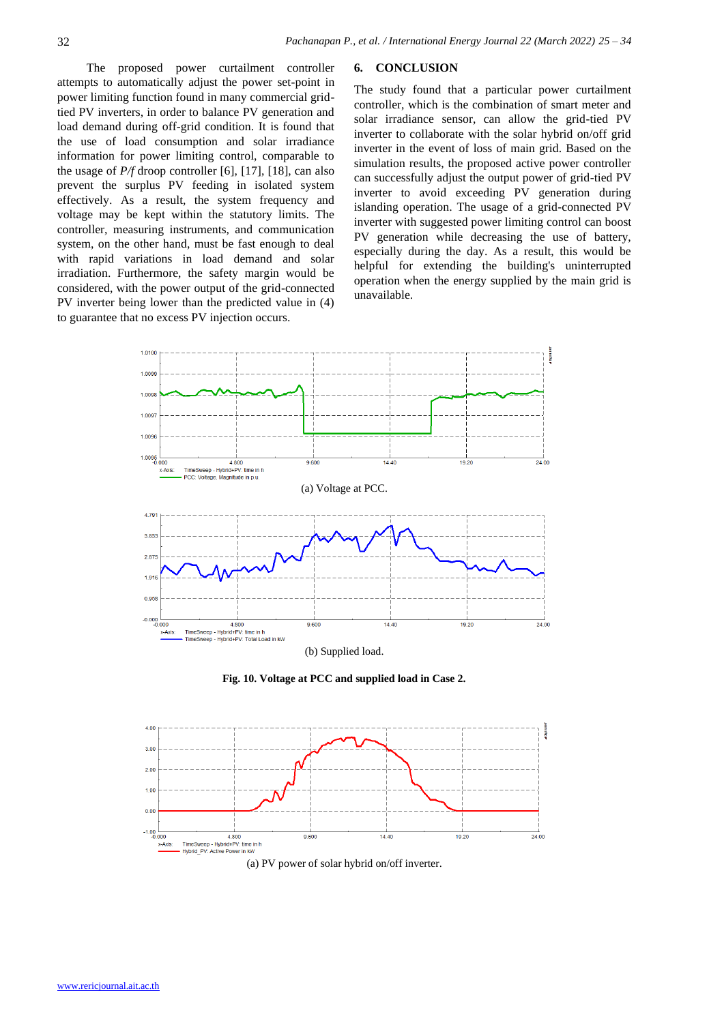**6. CONCLUSION**

The proposed power curtailment controller attempts to automatically adjust the power set-point in power limiting function found in many commercial gridtied PV inverters, in order to balance PV generation and load demand during off-grid condition. It is found that the use of load consumption and solar irradiance information for power limiting control, comparable to the usage of *P/f* droop controller [6], [17], [18], can also prevent the surplus PV feeding in isolated system effectively. As a result, the system frequency and voltage may be kept within the statutory limits. The controller, measuring instruments, and communication system, on the other hand, must be fast enough to deal with rapid variations in load demand and solar irradiation. Furthermore, the safety margin would be considered, with the power output of the grid-connected PV inverter being lower than the predicted value in (4) to guarantee that no excess PV injection occurs.

The study found that a particular power curtailment controller, which is the combination of smart meter and solar irradiance sensor, can allow the grid-tied PV inverter to collaborate with the solar hybrid on/off grid inverter in the event of loss of main grid. Based on the simulation results, the proposed active power controller can successfully adjust the output power of grid-tied PV inverter to avoid exceeding PV generation during islanding operation. The usage of a grid-connected PV inverter with suggested power limiting control can boost PV generation while decreasing the use of battery, especially during the day. As a result, this would be helpful for extending the building's uninterrupted operation when the energy supplied by the main grid is unavailable.



**Fig. 10. Voltage at PCC and supplied load in Case 2.**



(a) PV power of solar hybrid on/off inverter.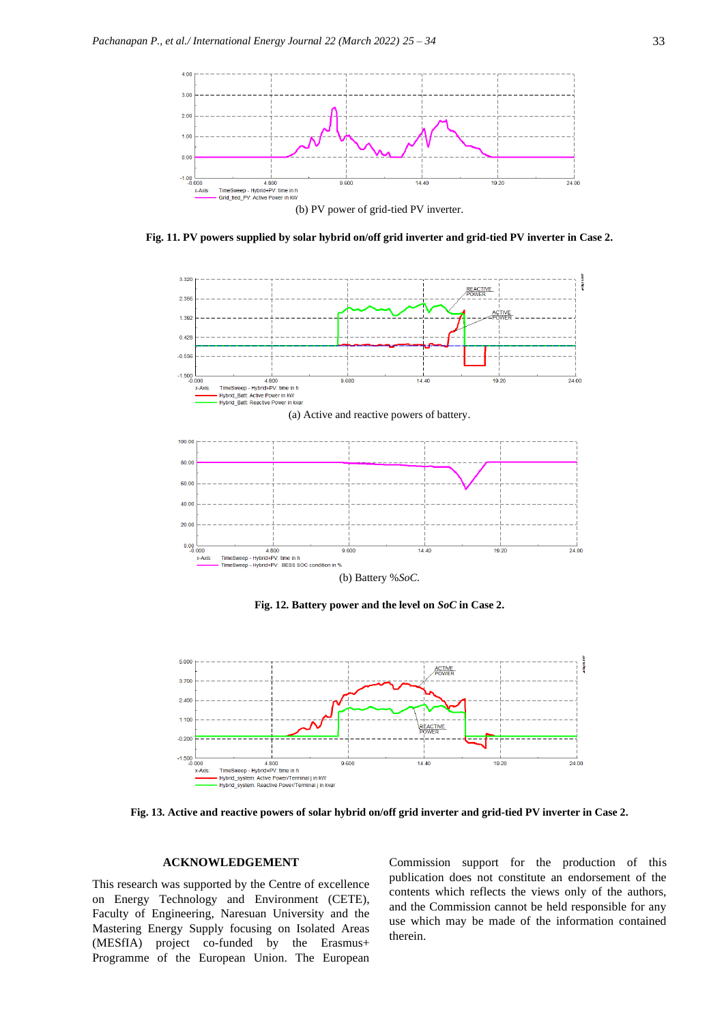

**Fig. 11. PV powers supplied by solar hybrid on/off grid inverter and grid-tied PV inverter in Case 2.**



(b) Battery %*SoC.*

**Fig. 12. Battery power and the level on** *SoC* **in Case 2.**



**Fig. 13. Active and reactive powers of solar hybrid on/off grid inverter and grid-tied PV inverter in Case 2.**

#### **ACKNOWLEDGEMENT**

This research was supported by the Centre of excellence on Energy Technology and Environment (CETE), Faculty of Engineering, Naresuan University and the Mastering Energy Supply focusing on Isolated Areas (MESfIA) project co-funded by the Erasmus+ Programme of the European Union. The European

Commission support for the production of this publication does not constitute an endorsement of the contents which reflects the views only of the authors, and the Commission cannot be held responsible for any use which may be made of the information contained therein.